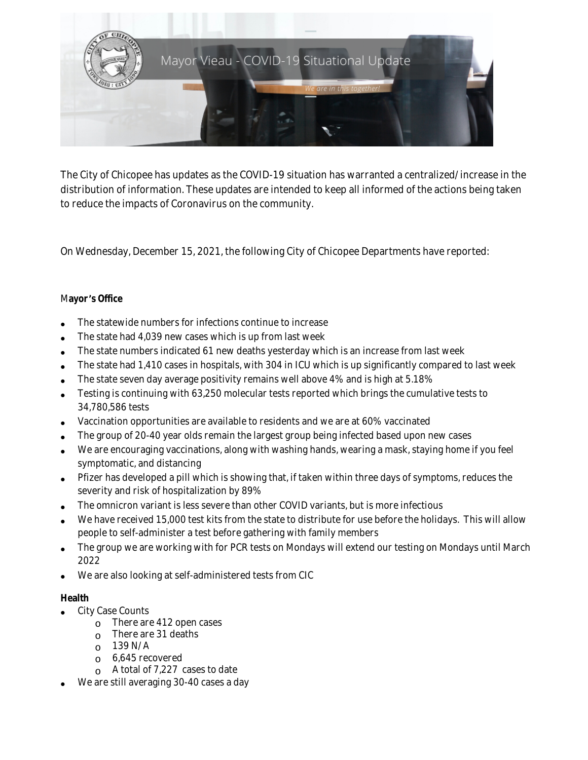

The City of Chicopee has updates as the COVID-19 situation has warranted a centralized/increase in the distribution of information. These updates are intended to keep all informed of the actions being taken to reduce the impacts of Coronavirus on the community.

On Wednesday, December 15, 2021, the following City of Chicopee Departments have reported:

### M**ayor** '**s Office**

- The statewide numbers for infections continue to increase
- The state had 4,039 new cases which is up from last week
- The state numbers indicated 61 new deaths yesterday which is an increase from last week
- The state had 1,410 cases in hospitals, with 304 in ICU which is up significantly compared to last week
- The state seven day average positivity remains well above 4% and is high at 5.18%
- Testing is continuing with 63,250 molecular tests reported which brings the cumulative tests to 34,780,586 tests
- Vaccination opportunities are available to residents and we are at 60% vaccinated
- The group of 20-40 year olds remain the largest group being infected based upon new cases
- We are encouraging vaccinations, along with washing hands, wearing a mask, staying home if you feel symptomatic, and distancing
- Pfizer has developed a pill which is showing that, if taken within three days of symptoms, reduces the severity and risk of hospitalization by 89%
- The omnicron variant is less severe than other COVID variants, but is more infectious
- We have received 15,000 test kits from the state to distribute for use before the holidays. This will allow people to self-administer a test before gathering with family members
- The group we are working with for PCR tests on Mondays will extend our testing on Mondays until March 2022
- We are also looking at self-administered tests from CIC

# **Health**

- City Case Counts
	- o There are 412 open cases
	- $\circ$  There are 31 deaths
	- $O$  139 N/A
	- $6,645$  recovered
	- o A total of 7,227 cases to date
- We are still averaging 30-40 cases a day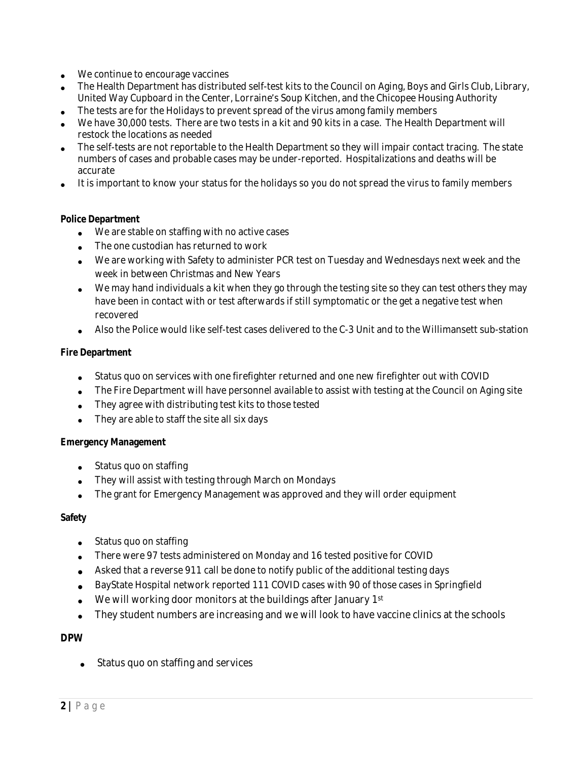- We continue to encourage vaccines
- The Health Department has distributed self-test kits to the Council on Aging, Boys and Girls Club, Library, United Way Cupboard in the Center, Lorraine's Soup Kitchen, and the Chicopee Housing Authority
- The tests are for the Holidays to prevent spread of the virus among family members
- We have 30,000 tests. There are two tests in a kit and 90 kits in a case. The Health Department will restock the locations as needed
- The self-tests are not reportable to the Health Department so they will impair contact tracing. The state numbers of cases and probable cases may be under-reported. Hospitalizations and deaths will be accurate
- It is important to know your status for the holidays so you do not spread the virus to family members

### **Police Department**

- We are stable on staffing with no active cases
- The one custodian has returned to work
- We are working with Safety to administer PCR test on Tuesday and Wednesdays next week and the week in between Christmas and New Years
- We may hand individuals a kit when they go through the testing site so they can test others they may have been in contact with or test afterwards if still symptomatic or the get a negative test when recovered
- Also the Police would like self-test cases delivered to the C-3 Unit and to the Willimansett sub-station

#### **Fire Department**

- Status quo on services with one firefighter returned and one new firefighter out with COVID
- The Fire Department will have personnel available to assist with testing at the Council on Aging site
- They agree with distributing test kits to those tested
- They are able to staff the site all six days

#### **Emergency Management**

- Status quo on staffing
- They will assist with testing through March on Mondays
- The grant for Emergency Management was approved and they will order equipment

#### **Safety**

- Status quo on staffing
- There were 97 tests administered on Monday and 16 tested positive for COVID
- Asked that a reverse 911 call be done to notify public of the additional testing days
- BayState Hospital network reported 111 COVID cases with 90 of those cases in Springfield
- We will working door monitors at the buildings after January 1st
- They student numbers are increasing and we will look to have vaccine clinics at the schools

### **DPW**

Status quo on staffing and services